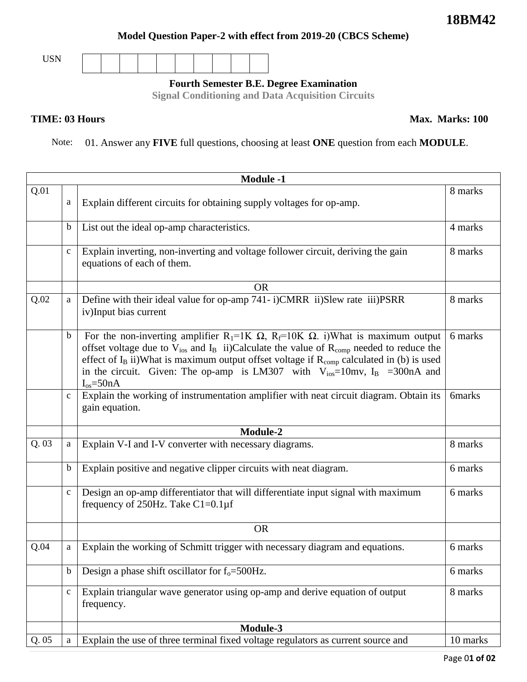## **Model Question Paper-2 with effect from 2019-20 (CBCS Scheme)**



**Fourth Semester B.E. Degree Examination**

**Signal Conditioning and Data Acquisition Circuits**

Note: 01. Answer any **FIVE** full questions, choosing at least **ONE** question from each **MODULE**.

| <b>Module -1</b> |              |                                                                                                                                                                                                                                                                                                                                                                                                                                                      |               |  |
|------------------|--------------|------------------------------------------------------------------------------------------------------------------------------------------------------------------------------------------------------------------------------------------------------------------------------------------------------------------------------------------------------------------------------------------------------------------------------------------------------|---------------|--|
| Q.01             | a            | Explain different circuits for obtaining supply voltages for op-amp.                                                                                                                                                                                                                                                                                                                                                                                 | 8 marks       |  |
|                  | b            | List out the ideal op-amp characteristics.                                                                                                                                                                                                                                                                                                                                                                                                           | 4 marks       |  |
|                  | $\mathbf{C}$ | Explain inverting, non-inverting and voltage follower circuit, deriving the gain<br>equations of each of them.                                                                                                                                                                                                                                                                                                                                       | 8 marks       |  |
|                  |              | <b>OR</b>                                                                                                                                                                                                                                                                                                                                                                                                                                            |               |  |
| Q.02             | a            | Define with their ideal value for op-amp 741-i)CMRR ii)Slew rate iii)PSRR<br>iv)Input bias current                                                                                                                                                                                                                                                                                                                                                   | 8 marks       |  |
|                  | $\mathbf b$  | For the non-inverting amplifier R <sub>1</sub> =1K $\Omega$ , R <sub>f</sub> =10K $\Omega$ . i)What is maximum output<br>offset voltage due to $V_{ios}$ and $I_B$ ii)Calculate the value of $R_{comp}$ needed to reduce the<br>effect of $I_B$ ii)What is maximum output offset voltage if $R_{comp}$ calculated in (b) is used<br>in the circuit. Given: The op-amp is LM307 with $V_{ios} = 10$ mv, I <sub>B</sub> = 300nA and<br>$I_{os} = 50nA$ | 6 marks       |  |
|                  | $\mathbf{C}$ | Explain the working of instrumentation amplifier with neat circuit diagram. Obtain its<br>gain equation.                                                                                                                                                                                                                                                                                                                                             | <b>6marks</b> |  |
|                  |              | Module-2                                                                                                                                                                                                                                                                                                                                                                                                                                             |               |  |
| Q.03             | a            | Explain V-I and I-V converter with necessary diagrams.                                                                                                                                                                                                                                                                                                                                                                                               | 8 marks       |  |
|                  | $\mathbf b$  | Explain positive and negative clipper circuits with neat diagram.                                                                                                                                                                                                                                                                                                                                                                                    | 6 marks       |  |
|                  | $\mathbf{C}$ | Design an op-amp differentiator that will differentiate input signal with maximum<br>frequency of 250Hz. Take $C1=0.1 \mu$ f                                                                                                                                                                                                                                                                                                                         | 6 marks       |  |
|                  |              | <b>OR</b>                                                                                                                                                                                                                                                                                                                                                                                                                                            |               |  |
| Q.04             | $\mathbf{a}$ | Explain the working of Schmitt trigger with necessary diagram and equations.                                                                                                                                                                                                                                                                                                                                                                         | 6 marks       |  |
|                  | b            | Design a phase shift oscillator for $f_0 = 500$ Hz.                                                                                                                                                                                                                                                                                                                                                                                                  | 6 marks       |  |
|                  | $\mathbf{C}$ | Explain triangular wave generator using op-amp and derive equation of output<br>frequency.                                                                                                                                                                                                                                                                                                                                                           | 8 marks       |  |
|                  |              | Module-3                                                                                                                                                                                                                                                                                                                                                                                                                                             |               |  |
| Q.05             | a            | Explain the use of three terminal fixed voltage regulators as current source and                                                                                                                                                                                                                                                                                                                                                                     | 10 marks      |  |

## **TIME: 03 Hours** Max. Marks: 100